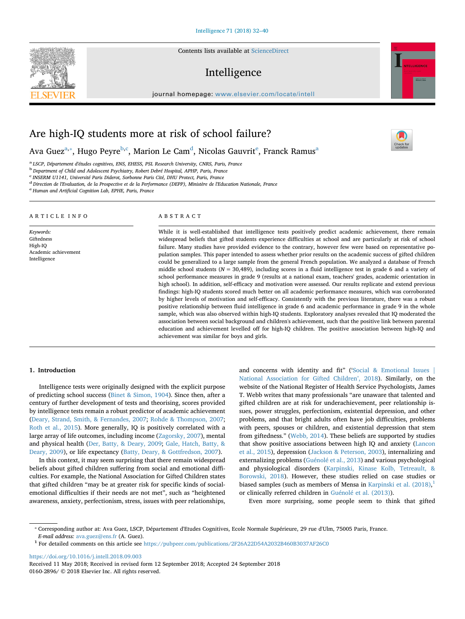Contents lists available at [ScienceDirect](http://www.sciencedirect.com/science/journal/01602896)

# Intelligence

journal homepage: [www.elsevier.com/locate/intell](https://www.elsevier.com/locate/intell)



 $\frac{N}{2}$ 

## Are high-IQ students more at risk of school failure?

Ava Gu[e](#page-0-5)z $^{\rm a, *},$  $^{\rm a, *},$  $^{\rm a, *},$  Hugo Peyre $^{\rm b, c}$  $^{\rm b, c}$  $^{\rm b, c}$  $^{\rm b, c}$  $^{\rm b, c}$ , Marion Le Cam $^{\rm d}$  $^{\rm d}$  $^{\rm d}$ , Nicolas Gauvrit $^{\rm e}$ , Franck Ramus $^{\rm a}$ 

<span id="page-0-0"></span><sup>a</sup> *LSCP, Département d'études cognitives, ENS, EHESS, PSL Research University, CNRS, Paris, France*

<span id="page-0-2"></span><sup>b</sup>*Department of Child and Adolescent Psychiatry, Robert Debré Hospital, APHP, Paris, France*

<span id="page-0-3"></span><sup>c</sup> *INSERM U1141, Université Paris Diderot, Sorbonne Paris Cité, DHU Protect, Paris, France*

<span id="page-0-4"></span><sup>d</sup>*Direction de l'Evaluation, de la Prospective et de la Performance (DEPP), Ministère de l'Education Nationale, France*

<span id="page-0-5"></span><sup>e</sup> *Human and Artificial Cognition Lab, EPHE, Paris, France*

### ARTICLE INFO

*Keywords:* Giftedness High-IQ Academic achievement Intelligence

#### ABSTRACT

While it is well-established that intelligence tests positively predict academic achievement, there remain widespread beliefs that gifted students experience difficulties at school and are particularly at risk of school failure. Many studies have provided evidence to the contrary, however few were based on representative population samples. This paper intended to assess whether prior results on the academic success of gifted children could be generalized to a large sample from the general French population. We analyzed a database of French middle school students (*N* = 30,489), including scores in a fluid intelligence test in grade 6 and a variety of school performance measures in grade 9 (results at a national exam, teachers' grades, academic orientation in high school). In addition, self-efficacy and motivation were assessed. Our results replicate and extend previous findings: high-IQ students scored much better on all academic performance measures, which was corroborated by higher levels of motivation and self-efficacy. Consistently with the previous literature, there was a robust positive relationship between fluid intelligence in grade 6 and academic performance in grade 9 in the whole sample, which was also observed within high-IQ students. Exploratory analyses revealed that IQ moderated the association between social background and children's achievement, such that the positive link between parental education and achievement levelled off for high-IQ children. The positive association between high-IQ and achievement was similar for boys and girls.

## **1. Introduction**

Intelligence tests were originally designed with the explicit purpose of predicting school success ([Binet & Simon, 1904\)](#page-7-0). Since then, after a century of further development of tests and theorising, scores provided by intelligence tests remain a robust predictor of academic achievement ([Deary, Strand, Smith, & Fernandes, 2007;](#page-8-0) [Rohde & Thompson, 2007](#page-8-1); [Roth et al., 2015\)](#page-8-2). More generally, IQ is positively correlated with a large array of life outcomes, including income [\(Zagorsky, 2007](#page-8-3)), mental and physical health [\(Der, Batty, & Deary, 2009](#page-8-4); [Gale, Hatch, Batty, &](#page-8-5) [Deary, 2009](#page-8-5)), or life expectancy [\(Batty, Deary, & Gottfredson, 2007\)](#page-7-1).

In this context, it may seem surprising that there remain widespread beliefs about gifted children suffering from social and emotional difficulties. For example, the National Association for Gifted Children states that gifted children "may be at greater risk for specific kinds of socialemotional difficulties if their needs are not met", such as "heightened awareness, anxiety, perfectionism, stress, issues with peer relationships,

and concerns with identity and fit" (['Social & Emotional Issues |](#page-8-6) [National Association for Gifted Children', 2018](#page-8-6)). Similarly, on the website of the National Register of Health Service Psychologists, James T. Webb writes that many professionals "are unaware that talented and gifted children are at risk for underachievement, peer relationship issues, power struggles, perfectionism, existential depression, and other problems, and that bright adults often have job difficulties, problems with peers, spouses or children, and existential depression that stem from giftedness." [\(Webb, 2014](#page-8-7)). These beliefs are supported by studies that show positive associations between high IQ and anxiety [\(Lancon](#page-8-8) [et al., 2015](#page-8-8)), depression ([Jackson & Peterson, 2003](#page-8-9)), internalizing and externalizing problems ([Guénolé et al., 2013](#page-8-10)) and various psychological and physiological disorders [\(Karpinski, Kinase Kolb, Tetreault, &](#page-8-11) [Borowski, 2018\)](#page-8-11). However, these studies relied on case studies or biased samples (such as members of Mensa in [Karpinski et al. \(2018\)](#page-8-11),<sup>[1](#page-0-6)</sup> or clinically referred children in [Guénolé et al. \(2013\)\)](#page-8-10).

Even more surprising, some people seem to think that gifted

<https://doi.org/10.1016/j.intell.2018.09.003>

<span id="page-0-1"></span><sup>⁎</sup> Corresponding author at: Ava Guez, LSCP, Département d'Etudes Cognitives, Ecole Normale Supérieure, 29 rue d'Ulm, 75005 Paris, France. *E-mail address:* [ava.guez@ens.fr](mailto:ava.guez@ens.fr) (A. Guez).<br><sup>1</sup> For detailed comments on this article see <https://pubpeer.com/publications/2F26A22D54A2032B460B3037AF26C0>

<span id="page-0-6"></span>

Received 11 May 2018; Received in revised form 12 September 2018; Accepted 24 September 2018 0160-2896/ © 2018 Elsevier Inc. All rights reserved.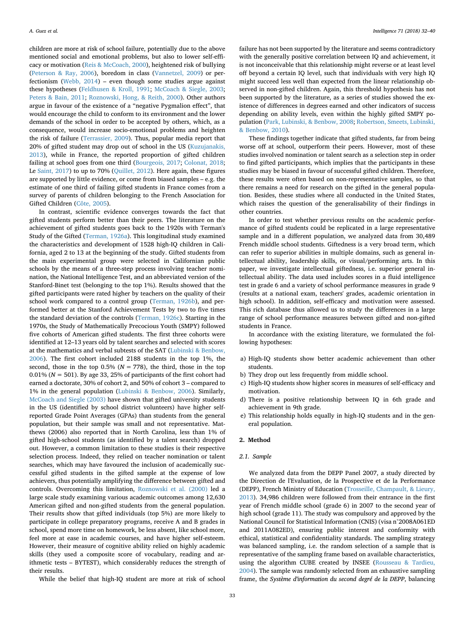children are more at risk of school failure, potentially due to the above mentioned social and emotional problems, but also to lower self-efficacy or motivation [\(Reis & McCoach, 2000](#page-8-12)), heightened risk of bullying ([Peterson & Ray, 2006\)](#page-8-13), boredom in class [\(Vannetzel, 2009](#page-8-14)) or perfectionism [\(Webb, 2014](#page-8-7)) – even though some studies argue against these hypotheses [\(Feldhusen & Kroll, 1991;](#page-8-15) [McCoach & Siegle, 2003](#page-8-16); [Peters & Bain, 2011;](#page-8-17) [Roznowski, Hong, & Reith, 2000](#page-8-18)). Other authors argue in favour of the existence of a "negative Pygmalion effect", that would encourage the child to conform to its environment and the lower demands of the school in order to be accepted by others, which, as a consequence, would increase socio-emotional problems and heighten the risk of failure ([Terrassier, 2009\)](#page-8-19). Thus, popular media report that 20% of gifted student may drop out of school in the US ([Kuzujanakis,](#page-8-20) [2013\)](#page-8-20), while in France, the reported proportion of gifted children failing at school goes from one third ([Bourgeois, 2017](#page-7-2); [Colonat, 2018](#page-8-21); Le [Saint, 2017\)](#page-8-22) to up to 70% [\(Quillet, 2012\)](#page-8-23). Here again, these figures are supported by little evidence, or come from biased samples – e.g. the estimate of one third of failing gifted students in France comes from a survey of parents of children belonging to the French Association for Gifted Children ([Côte, 2005\)](#page-8-24).

In contrast, scientific evidence converges towards the fact that gifted students perform better than their peers. The literature on the achievement of gifted students goes back to the 1920s with Terman's Study of the Gifted ([Terman, 1926a](#page-8-25)). This longitudinal study examined the characteristics and development of 1528 high-IQ children in California, aged 2 to 13 at the beginning of the study. Gifted students from the main experimental group were selected in Californian public schools by the means of a three-step process involving teacher nomination, the National Intelligence Test, and an abbreviated version of the Stanford-Binet test (belonging to the top 1%). Results showed that the gifted participants were rated higher by teachers on the quality of their school work compared to a control group [\(Terman, 1926b\)](#page-8-26), and performed better at the Stanford Achievement Tests by two to five times the standard deviation of the controls ([Terman, 1926c](#page-8-27)). Starting in the 1970s, the Study of Mathematically Precocious Youth (SMPY) followed five cohorts of American gifted students. The first three cohorts were identified at 12–13 years old by talent searches and selected with scores at the mathematics and verbal subtests of the SAT [\(Lubinski & Benbow,](#page-8-28) [2006\)](#page-8-28). The first cohort included 2188 students in the top 1%, the second, those in the top  $0.5\%$  ( $N = 778$ ), the third, those in the top 0.01% ( $N = 501$ ). By age 33, 25% of participants of the first cohort had earned a doctorate, 30% of cohort 2, and 50% of cohort 3 – compared to 1% in the general population ([Lubinski & Benbow, 2006\)](#page-8-28). Similarly, [McCoach and Siegle \(2003\)](#page-8-16) have shown that gifted university students in the US (identified by school district volunteers) have higher selfreported Grade Point Averages (GPAs) than students from the general population, but their sample was small and not representative. Matthews (2006) also reported that in North Carolina, less than 1% of gifted high-school students (as identified by a talent search) dropped out. However, a common limitation to these studies is their respective selection process. Indeed, they relied on teacher nomination or talent searches, which may have favoured the inclusion of academically successful gifted students in the gifted sample at the expense of low achievers, thus potentially amplifying the difference between gifted and controls. Overcoming this limitation, [Roznowski et al. \(2000\)](#page-8-18) led a large scale study examining various academic outcomes among 12,630 American gifted and non-gifted students from the general population. Their results show that gifted individuals (top 5%) are more likely to participate in college preparatory programs, receive A and B grades in school, spend more time on homework, be less absent, like school more, feel more at ease in academic courses, and have higher self-esteem. However, their measure of cognitive ability relied on highly academic skills (they used a composite score of vocabulary, reading and arithmetic tests – BYTEST), which considerably reduces the strength of their results.

While the belief that high-IQ student are more at risk of school

failure has not been supported by the literature and seems contradictory with the generally positive correlation between IQ and achievement, it is not inconceivable that this relationship might reverse or at least level off beyond a certain IQ level, such that individuals with very high IQ might succeed less well than expected from the linear relationship observed in non-gifted children. Again, this threshold hypothesis has not been supported by the literature, as a series of studies showed the existence of differences in degrees earned and other indicators of success depending on ability levels, even within the highly gifted SMPY population ([Park, Lubinski, & Benbow, 2008;](#page-8-29) [Robertson, Smeets, Lubinski,](#page-8-30) [& Benbow, 2010\)](#page-8-30).

These findings together indicate that gifted students, far from being worse off at school, outperform their peers. However, most of these studies involved nomination or talent search as a selection step in order to find gifted participants, which implies that the participants in these studies may be biased in favour of successful gifted children. Therefore, these results were often based on non-representative samples, so that there remains a need for research on the gifted in the general population. Besides, these studies where all conducted in the United States, which raises the question of the generalisability of their findings in other countries.

In order to test whether previous results on the academic performance of gifted students could be replicated in a large representative sample and in a different population, we analyzed data from 30,489 French middle school students. Giftedness is a very broad term, which can refer to superior abilities in multiple domains, such as general intellectual ability, leadership skills, or visual/performing arts. In this paper, we investigate intellectual giftedness, i.e. superior general intellectual ability. The data used includes scores in a fluid intelligence test in grade 6 and a variety of school performance measures in grade 9 (results at a national exam, teachers' grades, academic orientation in high school). In addition, self-efficacy and motivation were assessed. This rich database thus allowed us to study the differences in a large range of school performance measures between gifted and non-gifted students in France.

In accordance with the existing literature, we formulated the following hypotheses:

- a) High-IQ students show better academic achievement than other students.
- b) They drop out less frequently from middle school.
- c) High-IQ students show higher scores in measures of self-efficacy and motivation.
- d) There is a positive relationship between IQ in 6th grade and achievement in 9th grade.
- e) This relationship holds equally in high-IQ students and in the general population.

#### **2. Method**

## *2.1. Sample*

We analyzed data from the DEPP Panel 2007, a study directed by the Direction de l'Evaluation, de la Prospective et de la Performance (DEPP), French Ministry of Education [\(Trosseille, Champault, & Lieury,](#page-8-31) [2013\)](#page-8-31). 34,986 children were followed from their entrance in the first year of French middle school (grade 6) in 2007 to the second year of high school (grade 11). The study was compulsory and approved by the National Council for Statistical Information (CNIS) (visa n°2008A061ED and 2011A082ED), ensuring public interest and conformity with ethical, statistical and confidentiality standards. The sampling strategy was balanced sampling, i.e. the random selection of a sample that is representative of the sampling frame based on available characteristics, using the algorithm CUBE created by INSEE [\(Rousseau & Tardieu,](#page-8-32) [2004\)](#page-8-32). The sample was randomly selected from an exhaustive sampling frame, the *Système d'information du second degré de la DEPP*, balancing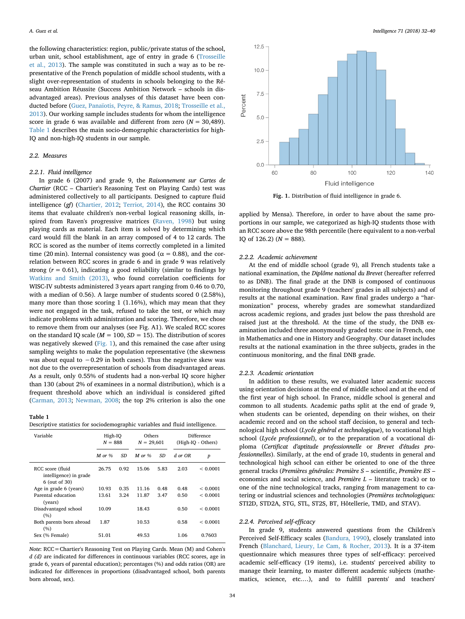the following characteristics: region, public/private status of the school, urban unit, school establishment, age of entry in grade 6 [\(Trosseille](#page-8-31) [et al., 2013\)](#page-8-31). The sample was constituted in such a way as to be representative of the French population of middle school students, with a slight over-representation of students in schools belonging to the Réseau Ambition Réussite (Success Ambition Network – schools in disadvantaged areas). Previous analyses of this dataset have been conducted before [\(Guez, Panaïotis, Peyre, & Ramus, 2018;](#page-8-33) [Trosseille et al.,](#page-8-31) [2013\)](#page-8-31). Our working sample includes students for whom the intelligence score in grade 6 was available and different from zero (*N* = 30,489). [Table 1](#page-2-0) describes the main socio-demographic characteristics for high-IQ and non-high-IQ students in our sample.

## *2.2. Measures*

## *2.2.1. Fluid intelligence*

In grade 6 (2007) and grade 9, the *Raisonnement sur Cartes de Chartier* (RCC – Chartier's Reasoning Test on Playing Cards) test was administered collectively to all participants. Designed to capture fluid intelligence (*gf*) [\(Chartier, 2012](#page-8-34); [Terriot, 2014\)](#page-8-35), the RCC contains 30 items that evaluate children's non-verbal logical reasoning skills, inspired from Raven's progressive matrices ([Raven, 1998\)](#page-8-36) but using playing cards as material. Each item is solved by determining which card would fill the blank in an array composed of 4 to 12 cards. The RCC is scored as the number of items correctly completed in a limited time (20 min). Internal consistency was good ( $\alpha$  = 0.88), and the correlation between RCC scores in grade 6 and in grade 9 was relatively strong  $(r = 0.61)$ , indicating a good reliability (similar to findings by [Watkins and Smith \(2013\)](#page-8-37), who found correlation coefficients for WISC-IV subtests administered 3 years apart ranging from 0.46 to 0.70, with a median of 0.56). A large number of students scored 0 (2.58%), many more than those scoring 1 (1.16%), which may mean that they were not engaged in the task, refused to take the test, or which may indicate problems with administration and scoring. Therefore, we chose to remove them from our analyses (see Fig. A1). We scaled RCC scores on the standard IQ scale ( $M = 100$ ,  $SD = 15$ ). The distribution of scores was negatively skewed [\(Fig. 1\)](#page-2-1), and this remained the case after using sampling weights to make the population representative (the skewness was about equal to  $-0.29$  in both cases). Thus the negative skew was not due to the overrepresentation of schools from disadvantaged areas. As a result, only 0.55% of students had a non-verbal IQ score higher than 130 (about 2% of examinees in a normal distribution), which is a frequent threshold above which an individual is considered gifted ([Carman, 2013;](#page-8-38) [Newman, 2008;](#page-8-39) the top 2% criterion is also the one

## <span id="page-2-0"></span>**Table 1**

|  |  |  | Descriptive statistics for sociodemographic variables and fluid intelligence. |  |
|--|--|--|-------------------------------------------------------------------------------|--|
|  |  |  |                                                                               |  |

| Variable                                                    | High-IQ<br>$N = 888$ |      | Others<br>$N = 29,601$ |      | Difference<br>(High-IO - Others) |          |
|-------------------------------------------------------------|----------------------|------|------------------------|------|----------------------------------|----------|
|                                                             | $M$ or $\%$          | SD   | $M$ or %               | SD   | d or OR                          | p        |
| RCC score (fluid<br>intelligence) in grade<br>6 (out of 30) | 26.75                | 0.92 | 15.06                  | 5.83 | 2.03                             | < 0.0001 |
| Age in grade 6 (years)                                      | 10.93                | 0.35 | 11.16                  | 0.48 | 0.48                             | < 0.0001 |
| Parental education<br>(years)                               | 13.61                | 3.24 | 11.87                  | 3.47 | 0.50                             | < 0.0001 |
| Disadvantaged school<br>(%)                                 | 10.09                |      | 18.43                  |      | 0.50                             | < 0.0001 |
| Both parents born abroad<br>(%)                             | 1.87                 |      | 10.53                  |      | 0.58                             | < 0.0001 |
| Sex (% Female)                                              | 51.01                |      | 49.53                  |      | 1.06                             | 0.7603   |

*Note*: RCC=Chartier's Reasoning Test on Playing Cards. Mean (M) and Cohen's *d (d)* are indicated for differences in continuous variables (RCC scores, age in grade 6, years of parental education); percentages (%) and odds ratios (OR) are indicated for differences in proportions (disadvantaged school, both parents born abroad, sex).

<span id="page-2-1"></span>

**Fig. 1.** Distribution of fluid intelligence in grade 6.

applied by Mensa). Therefore, in order to have about the same proportions in our sample, we categorized as high-IQ students those with an RCC score above the 98th percentile (here equivalent to a non-verbal IQ of  $126.2$ ) ( $N = 888$ ).

#### *2.2.2. Academic achievement*

At the end of middle school (grade 9), all French students take a national examination, the *Diplôme national du Brevet* (hereafter referred to as DNB). The final grade at the DNB is composed of continuous monitoring throughout grade 9 (teachers' grades in all subjects) and of results at the national examination. Raw final grades undergo a "harmonization" process, whereby grades are somewhat standardized across academic regions, and grades just below the pass threshold are raised just at the threshold. At the time of the study, the DNB examination included three anonymously graded tests: one in French, one in Mathematics and one in History and Geography. Our dataset includes results at the national examination in the three subjects, grades in the continuous monitoring, and the final DNB grade.

### *2.2.3. Academic orientation*

In addition to these results, we evaluated later academic success using orientation decisions at the end of middle school and at the end of the first year of high school. In France, middle school is general and common to all students. Academic paths split at the end of grade 9, when students can be oriented, depending on their wishes, on their academic record and on the school staff decision, to general and technological high school (*Lycée général et technologique*), to vocational high school (*Lycée professionnel*), or to the preparation of a vocational diploma (*Certificat d'aptitude professionnelle* or *Brevet d'études professionnelles*). Similarly, at the end of grade 10, students in general and technological high school can either be oriented to one of the three general tracks (*Premières générales: Première S* – scientific, *Première ES* – economics and social science, and *Première L* – literature track) or to one of the nine technological tracks, ranging from management to catering or industrial sciences and technologies (*Premières technologiques:* STI2D, STD2A, STG, STL, ST2S, BT, Hôtellerie, TMD, and STAV).

## *2.2.4. Perceived self-efficacy*

In grade 9, students answered questions from the Children's Perceived Self-Efficacy scales [\(Bandura, 1990\)](#page-7-3), closely translated into French [\(Blanchard, Lieury, Le Cam, & Rocher, 2013\)](#page-7-4). It is a 37-item questionnaire which measures three types of self-efficacy: perceived academic self-efficacy (19 items), i.e. students' perceived ability to manage their learning, to master different academic subjects (mathematics, science, etc.…), and to fulfill parents' and teachers'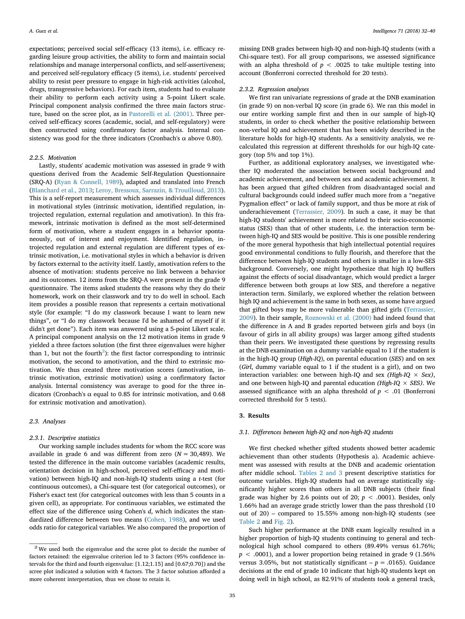expectations; perceived social self-efficacy (13 items), i.e. efficacy regarding leisure group activities, the ability to form and maintain social relationships and manage interpersonal conflicts, and self-assertiveness; and perceived self-regulatory efficacy (5 items), i.e. students' perceived ability to resist peer pressure to engage in high-risk activities (alcohol, drugs, transgressive behaviors). For each item, students had to evaluate their ability to perform each activity using a 5-point Likert scale. Principal component analysis confirmed the three main factors structure, based on the scree plot, as in [Pastorelli et al. \(2001\)](#page-8-40). Three perceived self-efficacy scores (academic, social, and self-regulatory) were then constructed using confirmatory factor analysis. Internal consistency was good for the three indicators (Cronbach's  $\alpha$  above 0.80).

## *2.2.5. Motivation*

Lastly, students' academic motivation was assessed in grade 9 with questions derived from the Academic Self-Regulation Questionnaire (SRQ-A) ([Ryan & Connell, 1989](#page-8-41)), adapted and translated into French ([Blanchard et al., 2013](#page-7-4); [Leroy, Bressoux, Sarrazin, & Trouilloud, 2013](#page-8-42)). This is a self-report measurement which assesses individual differences in motivational styles (intrinsic motivation, identified regulation, introjected regulation, external regulation and amotivation). In this framework, intrinsic motivation is defined as the most self-determined form of motivation, where a student engages in a behavior spontaneously, out of interest and enjoyment. Identified regulation, introjected regulation and external regulation are different types of extrinsic motivation, i.e. motivational styles in which a behavior is driven by factors external to the activity itself. Lastly, amotivation refers to the absence of motivation: students perceive no link between a behavior and its outcomes. 12 items from the SRQ-A were present in the grade 9 questionnaire. The items asked students the reasons why they do their homework, work on their classwork and try to do well in school. Each item provides a possible reason that represents a certain motivational style (for example: "I do my classwork because I want to learn new things", or "I do my classwork because I'd be ashamed of myself if it didn't get done"). Each item was answered using a 5-point Likert scale. A principal component analysis on the 12 motivation items in grade 9 yielded a three factors solution (the first three eigenvalues were higher than 1, but not the fourth<sup>[2](#page-3-0)</sup>): the first factor corresponding to intrinsic motivation, the second to amotivation, and the third to extrinsic motivation. We thus created three motivation scores (amotivation, intrinsic motivation, extrinsic motivation) using a confirmatory factor analysis. Internal consistency was average to good for the three indicators (Cronbach's  $\alpha$  equal to 0.85 for intrinsic motivation, and 0.68 for extrinsic motivation and amotivation).

## *2.3. Analyses*

## *2.3.1. Descriptive statistics*

Our working sample includes students for whom the RCC score was available in grade 6 and was different from zero  $(N = 30,489)$ . We tested the difference in the main outcome variables (academic results, orientation decision in high-school, perceived self-efficacy and motivation) between high-IQ and non-high-IQ students using a *t*-test (for continuous outcomes), a Chi-square test (for categorical outcomes), or Fisher's exact test (for categorical outcomes with less than 5 counts in a given cell), as appropriate. For continuous variables, we estimated the effect size of the difference using Cohen's *d*, which indicates the standardized difference between two means [\(Cohen, 1988](#page-8-43)), and we used odds ratio for categorical variables. We also compared the proportion of

missing DNB grades between high-IQ and non-high-IQ students (with a Chi-square test). For all group comparisons, we assessed significance with an alpha threshold of  $p < .0025$  to take multiple testing into account (Bonferroni corrected threshold for 20 tests).

#### *2.3.2. Regression analyses*

We first ran univariate regressions of grade at the DNB examination (in grade 9) on non-verbal IQ score (in grade 6). We ran this model in our entire working sample first and then in our sample of high-IQ students, in order to check whether the positive relationship between non-verbal IQ and achievement that has been widely described in the literature holds for high-IQ students. As a sensitivity analysis, we recalculated this regression at different thresholds for our high-IQ category (top 5% and top 1%).

Further, as additional exploratory analyses, we investigated whether IQ moderated the association between social background and academic achievement, and between sex and academic achievement. It has been argued that gifted children from disadvantaged social and cultural backgrounds could indeed suffer much more from a "negative Pygmalion effect" or lack of family support, and thus be more at risk of underachievement [\(Terrassier, 2009\)](#page-8-19). In such a case, it may be that high-IQ students' achievement is more related to their socio-economic status (SES) than that of other students, i.e. the interaction term between high-IQ and SES would be positive. This is one possible rendering of the more general hypothesis that high intellectual potential requires good environmental conditions to fully flourish, and therefore that the difference between high-IQ students and others is smaller in a low-SES background. Conversely, one might hypothesize that high IQ buffers against the effects of social disadvantage, which would predict a larger difference between both groups at low SES, and therefore a negative interaction term. Similarly, we explored whether the relation between high IQ and achievement is the same in both sexes, as some have argued that gifted boys may be more vulnerable than gifted girls ([Terrassier,](#page-8-19) [2009\)](#page-8-19). In their sample, [Roznowski et al. \(2000\)](#page-8-18) had indeed found that the difference in A and B grades reported between girls and boys (in favour of girls in all ability groups) was larger among gifted students than their peers. We investigated these questions by regressing results at the DNB examination on a dummy variable equal to 1 if the student is in the high-IQ group (*High-IQ*), on parental education (*SES*) and on sex (*Girl*, dummy variable equal to 1 if the student is a girl), and on two interaction variables: one between high-IQ and sex *(High-IQ × Sex)*, and one between high-IQ and parental education *(High-IQ × SES)*. We assessed significance with an alpha threshold of  $p < .01$  (Bonferroni corrected threshold for 5 tests).

## **3. Results**

#### *3.1. Differences between high-IQ and non-high-IQ students*

We first checked whether gifted students showed better academic achievement than other students (Hypothesis a). Academic achievement was assessed with results at the DNB and academic orientation after middle school. [Tables 2 and 3](#page-4-0) present descriptive statistics for outcome variables. High-IQ students had on average statistically significantly higher scores than others in all DNB subjects (their final grade was higher by 2.6 points out of 20;  $p < .0001$ ). Besides, only 1.66% had an average grade strictly lower than the pass threshold (10 out of 20) – compared to 15.55% among non-high-IQ students (see [Table 2](#page-4-0) and [Fig. 2\)](#page-4-1).

Such higher performance at the DNB exam logically resulted in a higher proportion of high-IQ students continuing to general and technological high school compared to others (89.49% versus 61.76%;  $p < .0001$ ), and a lower proportion being retained in grade 9 (1.56%) versus 3.05%, but not statistically significant  $-p = .0165$ ). Guidance decisions at the end of grade 10 indicate that high-IQ students kept on doing well in high school, as 82.91% of students took a general track,

<span id="page-3-0"></span><sup>&</sup>lt;sup>2</sup> We used both the eigenvalue and the scree plot to decide the number of factors retained: the eigenvalue criterion led to 3 factors (95% confidence intervals for the third and fourth eigenvalue: [1.12;1.15] and [0.67;0.70]) and the scree plot indicated a solution with 4 factors. The 3 factor solution afforded a more coherent interpretation, thus we chose to retain it.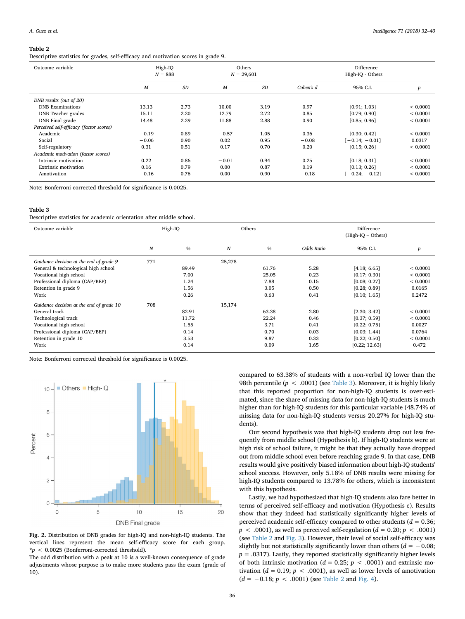#### <span id="page-4-0"></span>**Table 2**

Descriptive statistics for grades, self-efficacy and motivation scores in grade 9.

| Outcome variable                        | High-IQ<br>$N = 888$ |           | Others<br>$N = 29,601$ |           | Difference<br>High-IQ - Others |                     |                  |
|-----------------------------------------|----------------------|-----------|------------------------|-----------|--------------------------------|---------------------|------------------|
|                                         | M                    | <b>SD</b> | M                      | <b>SD</b> | Cohen's d                      | 95% C.I.            | $\boldsymbol{p}$ |
| DNB results (out of 20)                 |                      |           |                        |           |                                |                     |                  |
| <b>DNB</b> Examinations                 | 13.13                | 2.73      | 10.00                  | 3.19      | 0.97                           | [0.91; 1.03]        | < 0.0001         |
| <b>DNB</b> Teacher grades               | 15.11                | 2.20      | 12.79                  | 2.72      | 0.85                           | [0.79; 0.90]        | < 0.0001         |
| DNB Final grade                         | 14.48                | 2.29      | 11.88                  | 2.88      | 0.90                           | [0.85; 0.96]        | < 0.0001         |
| Perceived self-efficacy (factor scores) |                      |           |                        |           |                                |                     |                  |
| Academic                                | $-0.19$              | 0.89      | $-0.57$                | 1.05      | 0.36                           | [0.30; 0.42]        | < 0.0001         |
| Social                                  | $-0.06$              | 0.90      | 0.02                   | 0.95      | $-0.08$                        | $[-0.14; -0.01]$    | 0.0317           |
| Self-regulatory                         | 0.31                 | 0.51      | 0.17                   | 0.70      | 0.20                           | [0.15; 0.26]        | < 0.0001         |
| Academic motivation (factor scores)     |                      |           |                        |           |                                |                     |                  |
| Intrinsic motivation                    | 0.22                 | 0.86      | $-0.01$                | 0.94      | 0.25                           | [0.18; 0.31]        | < 0.0001         |
| <b>Extrinsic motivation</b>             | 0.16                 | 0.79      | 0.00                   | 0.87      | 0.19                           | [0.13; 0.26]        | < 0.0001         |
| Amotivation                             | $-0.16$              | 0.76      | 0.00                   | 0.90      | $-0.18$                        | $-0.24$ ; $-0.12$ ] | < 0.0001         |

Note: Bonferroni corrected threshold for significance is 0.0025.

## <span id="page-4-2"></span>**Table 3**

Descriptive statistics for academic orientation after middle school.

| Outcome variable                         | High-IQ          |       | Others |       | <b>Difference</b><br>(High-IQ - Others) |               |          |
|------------------------------------------|------------------|-------|--------|-------|-----------------------------------------|---------------|----------|
|                                          | $\boldsymbol{N}$ | %     | N      | %     | Odds Ratio                              | 95% C.I.      | p        |
| Guidance decision at the end of grade 9  | 771              |       | 25,278 |       |                                         |               |          |
| General & technological high school      |                  | 89.49 |        | 61.76 | 5.28                                    | [4.18; 6.65]  | < 0.0001 |
| Vocational high school                   |                  | 7.00  |        | 25.05 | 0.23                                    | [0.17; 0.30]  | < 0.0001 |
| Professional diploma (CAP/BEP)           |                  | 1.24  |        | 7.88  | 0.15                                    | [0.08; 0.27]  | < 0.0001 |
| Retention in grade 9                     |                  | 1.56  |        | 3.05  | 0.50                                    | [0.28; 0.89]  | 0.0165   |
| Work                                     |                  | 0.26  |        | 0.63  | 0.41                                    | [0.10; 1.65]  | 0.2472   |
| Guidance decision at the end of grade 10 | 708              |       | 15,174 |       |                                         |               |          |
| General track                            |                  | 82.91 |        | 63.38 | 2.80                                    | [2.30; 3.42]  | < 0.0001 |
| Technological track                      |                  | 11.72 |        | 22.24 | 0.46                                    | [0.37; 0.59]  | < 0.0001 |
| Vocational high school                   |                  | 1.55  |        | 3.71  | 0.41                                    | [0.22; 0.75]  | 0.0027   |
| Professional diploma (CAP/BEP)           |                  | 0.14  |        | 0.70  | 0.03                                    | [0.03; 1.44]  | 0.0764   |
| Retention in grade 10                    |                  | 3.53  |        | 9.87  | 0.33                                    | [0.22; 0.50]  | < 0.0001 |
| Work                                     |                  | 0.14  |        | 0.09  | 1.65                                    | [0.22; 12.63] | 0.472    |

Note: Bonferroni corrected threshold for significance is 0.0025.

<span id="page-4-1"></span>

**Fig. 2.** Distribution of DNB grades for high-IQ and non-high-IQ students. The vertical lines represent the mean self-efficacy score for each group. \**p* < 0.0025 (Bonferroni-corrected threshold).

The odd distribution with a peak at 10 is a well-known consequence of grade adjustments whose purpose is to make more students pass the exam (grade of 10).

compared to 63.38% of students with a non-verbal IQ lower than the 98th percentile (*p* < .0001) (see [Table 3\)](#page-4-2). Moreover, it is highly likely that this reported proportion for non-high-IQ students is over-estimated, since the share of missing data for non-high-IQ students is much higher than for high-IQ students for this particular variable (48.74% of missing data for non-high-IQ students versus 20.27% for high-IQ students).

Our second hypothesis was that high-IQ students drop out less frequently from middle school (Hypothesis b). If high-IQ students were at high risk of school failure, it might be that they actually have dropped out from middle school even before reaching grade 9. In that case, DNB results would give positively biased information about high-IQ students' school success. However, only 5.18% of DNB results were missing for high-IQ students compared to 13.78% for others, which is inconsistent with this hypothesis.

Lastly, we had hypothesized that high-IQ students also fare better in terms of perceived self-efficacy and motivation (Hypothesis c). Results show that they indeed had statistically significantly higher levels of perceived academic self-efficacy compared to other students ( $d = 0.36$ ; *p* < .0001), as well as perceived self-regulation (*d* = 0.20; *p* < .0001) (see [Table 2](#page-4-0) and [Fig. 3\)](#page-5-0). However, their level of social self-efficacy was slightly but not statistically significantly lower than others ( $d = -0.08$ ;  $p = .0317$ ). Lastly, they reported statistically significantly higher levels of both intrinsic motivation ( $d = 0.25$ ;  $p < .0001$ ) and extrinsic motivation ( $d = 0.19$ ;  $p < .0001$ ), as well as lower levels of amotivation (*d* = −0.18; *p* < .0001) (see [Table 2](#page-4-0) and [Fig. 4\)](#page-5-1).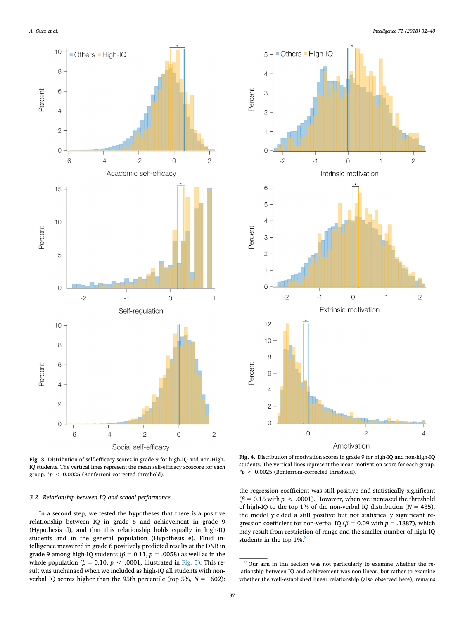<span id="page-5-0"></span>

**Fig. 3.** Distribution of self-efficacy scores in grade 9 for high-IQ and non-High-IQ students. The vertical lines represent the mean self-efficacy scoscore for each group. \**p* < 0.0025 (Bonferroni-corrected threshold).

## *3.2. Relationship between IQ and school performance*

In a second step, we tested the hypotheses that there is a positive relationship between IQ in grade 6 and achievement in grade 9 (Hypothesis d), and that this relationship holds equally in high-IQ students and in the general population (Hypothesis e). Fluid intelligence measured in grade 6 positively predicted results at the DNB in grade 9 among high-IQ students ( $\beta$  = 0.11,  $p$  = .0058) as well as in the whole population ( $\beta = 0.10$ ,  $p < .0001$ , illustrated in [Fig. 5](#page-6-0)). This result was unchanged when we included as high-IQ all students with nonverbal IQ scores higher than the 95th percentile (top 5%, *N* = 1602):

<span id="page-5-1"></span>

**Fig. 4.** Distribution of motivation scores in grade 9 for high-IQ and non-high-IQ students. The vertical lines represent the mean motivation score for each group. \**p* < 0.0025 (Bonferroni-corrected threshold).

the regression coefficient was still positive and statistically significant  $(\beta = 0.15 \text{ with } p < .0001)$ . However, when we increased the threshold of high-IQ to the top 1% of the non-verbal IQ distribution ( $N = 435$ ), the model yielded a still positive but not statistically significant regression coefficient for non-verbal IQ ( $\beta$  = 0.09 with  $p$  = .1887), which may result from restriction of range and the smaller number of high-IQ students in the top 1%.<sup>[3](#page-5-2)</sup>

<span id="page-5-2"></span><sup>3</sup> Our aim in this section was not particularly to examine whether the relationship between IQ and achievement was non-linear, but rather to examine whether the well-established linear relationship (also observed here), remains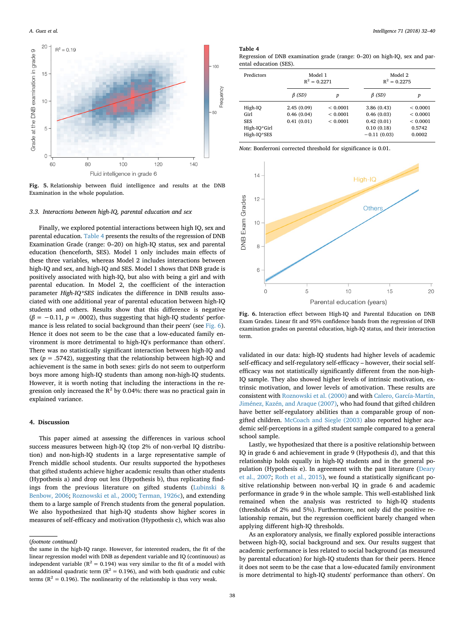<span id="page-6-0"></span>

**Fig. 5.** Relationship between fluid intelligence and results at the DNB Examination in the whole population.

### *3.3. Interactions between high-IQ, parental education and sex*

Finally, we explored potential interactions between high IQ, sex and parental education. [Table 4](#page-6-1) presents the results of the regression of DNB Examination Grade (range: 0–20) on high-IQ status, sex and parental education (henceforth, SES). Model 1 only includes main effects of these three variables, whereas Model 2 includes interactions between high-IQ and sex, and high-IQ and SES. Model 1 shows that DNB grade is positively associated with high-IQ, but also with being a girl and with parental education. In Model 2, the coefficient of the interaction parameter *High-IQ\*SES* indicates the difference in DNB results associated with one additional year of parental education between high-IQ students and others. Results show that this difference is negative  $(\beta = -0.11, p = .0002)$ , thus suggesting that high-IQ students' performance is less related to social background than their peers' (see [Fig. 6](#page-6-2)). Hence it does not seem to be the case that a low-educated family environment is more detrimental to high-IQ's performance than others'. There was no statistically significant interaction between high-IQ and sex ( $p = .5742$ ), suggesting that the relationship between high-IQ and achievement is the same in both sexes: girls do not seem to outperform boys more among high-IQ students than among non-high-IQ students. However, it is worth noting that including the interactions in the regression only increased the  $R^2$  by 0.04%: there was no practical gain in explained variance.

#### **4. Discussion**

This paper aimed at assessing the differences in various school success measures between high-IQ (top 2% of non-verbal IQ distribution) and non-high-IQ students in a large representative sample of French middle school students. Our results supported the hypotheses that gifted students achieve higher academic results than other students (Hypothesis a) and drop out less (Hypothesis b), thus replicating findings from the previous literature on gifted students ([Lubinski &](#page-8-28) [Benbow, 2006](#page-8-28); [Roznowski et al., 2000](#page-8-18); [Terman, 1926c](#page-8-27)), and extending them to a large sample of French students from the general population. We also hypothesized that high-IQ students show higher scores in measures of self-efficacy and motivation (Hypothesis c), which was also

#### <span id="page-6-1"></span>**Table 4**

Regression of DNB examination grade (range: 0–20) on high-IQ, sex and parental education (SES).

| Predictors                                                   | Model 1<br>$R^2 = 0.2271$              |                                  | Model 2<br>$R^2 = 0.2275$                                             |                                                      |
|--------------------------------------------------------------|----------------------------------------|----------------------------------|-----------------------------------------------------------------------|------------------------------------------------------|
|                                                              | $\beta$ (SD)                           | p                                | $\beta$ (SD)                                                          | $\boldsymbol{p}$                                     |
| High-IO<br>Girl<br><b>SES</b><br>High-IO*Girl<br>High-IO*SES | 2.45(0.09)<br>0.46(0.04)<br>0.41(0.01) | < 0.0001<br>< 0.0001<br>< 0.0001 | 3.86(0.43)<br>0.46(0.03)<br>0.42(0.01)<br>0.10(0.18)<br>$-0.11(0.03)$ | < 0.0001<br>< 0.0001<br>< 0.0001<br>0.5742<br>0.0002 |

*Note*: Bonferroni corrected threshold for significance is 0.01.

<span id="page-6-2"></span>

**Fig. 6.** Interaction effect between High-IQ and Parental Education on DNB Exam Grades. Linear fit and 95% confidence bands from the regression of DNB examination grades on parental education, high-IQ status, and their interaction term.

validated in our data: high-IQ students had higher levels of academic self-efficacy and self-regulatory self-efficacy – however, their social selfefficacy was not statistically significantly different from the non-high-IQ sample. They also showed higher levels of intrinsic motivation, extrinsic motivation, and lower levels of amotivation. These results are consistent with [Roznowski et al. \(2000\)](#page-8-18) and with [Calero, García-Martín,](#page-7-5) [Jiménez, Kazén, and Araque \(2007\),](#page-7-5) who had found that gifted children have better self-regulatory abilities than a comparable group of nongifted children. [McCoach and Siegle \(2003\)](#page-8-16) also reported higher academic self-perceptions in a gifted student sample compared to a general school sample.

Lastly, we hypothesized that there is a positive relationship between IQ in grade 6 and achievement in grade 9 (Hypothesis d), and that this relationship holds equally in high-IQ students and in the general population (Hypothesis e). In agreement with the past literature ([Deary](#page-8-0) [et al., 2007;](#page-8-0) [Roth et al., 2015](#page-8-2)), we found a statistically significant positive relationship between non-verbal IQ in grade 6 and academic performance in grade 9 in the whole sample. This well-established link remained when the analysis was restricted to high-IQ students (thresholds of 2% and 5%). Furthermore, not only did the positive relationship remain, but the regression coefficient barely changed when applying different high-IQ thresholds.

As an exploratory analysis, we finally explored possible interactions between high-IQ, social background and sex. Our results suggest that academic performance is less related to social background (as measured by parental education) for high-IQ students than for their peers. Hence it does not seem to be the case that a low-educated family environment is more detrimental to high-IQ students' performance than others'. On

<sup>(</sup>*footnote continued)*

the same in the high-IQ range. However, for interested readers, the fit of the linear regression model with DNB as dependent variable and IQ (continuous) as independent variable ( $R^2 = 0.194$ ) was very similar to the fit of a model with an additional quadratic term ( $R^2 = 0.196$ ), and with both quadratic and cubic terms ( $R^2$  = 0.196). The nonlinearity of the relationship is thus very weak.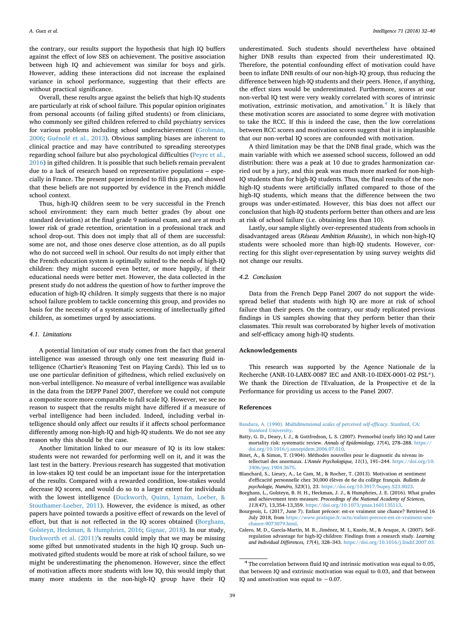the contrary, our results support the hypothesis that high IQ buffers against the effect of low SES on achievement. The positive association between high IQ and achievement was similar for boys and girls. However, adding these interactions did not increase the explained variance in school performance, suggesting that their effects are without practical significance.

Overall, these results argue against the beliefs that high-IQ students are particularly at risk of school failure. This popular opinion originates from personal accounts (of failing gifted students) or from clinicians, who commonly see gifted children referred to child psychiatry services for various problems including school underachievement ([Grobman,](#page-8-44) [2006;](#page-8-44) [Guénolé et al., 2013\)](#page-8-10). Obvious sampling biases are inherent to clinical practice and may have contributed to spreading stereotypes regarding school failure but also psychological difficulties ([Peyre et al.,](#page-8-45) [2016\)](#page-8-45) in gifted children. It is possible that such beliefs remain prevalent due to a lack of research based on representative populations – especially in France. The present paper intended to fill this gap, and showed that these beliefs are not supported by evidence in the French middle school context.

Thus, high-IQ children seem to be very successful in the French school environment: they earn much better grades (by about one standard deviation) at the final grade 9 national exam, and are at much lower risk of grade retention, orientation in a professional track and school drop-out. This does not imply that all of them are successful: some are not, and those ones deserve close attention, as do all pupils who do not succeed well in school. Our results do not imply either that the French education system is optimally suited to the needs of high-IQ children: they might succeed even better, or more happily, if their educational needs were better met. However, the data collected in the present study do not address the question of how to further improve the education of high-IQ children. It simply suggests that there is no major school failure problem to tackle concerning this group, and provides no basis for the necessity of a systematic screening of intellectually gifted children, as sometimes urged by associations.

## *4.1. Limitations*

A potential limitation of our study comes from the fact that general intelligence was assessed through only one test measuring fluid intelligence (Chartier's Reasoning Test on Playing Cards). This led us to use one particular definition of giftedness, which relied exclusively on non-verbal intelligence. No measure of verbal intelligence was available in the data from the DEPP Panel 2007, therefore we could not compute a composite score more comparable to full scale IQ. However, we see no reason to suspect that the results might have differed if a measure of verbal intelligence had been included. Indeed, including verbal intelligence should only affect our results if it affects school performance differently among non-high-IQ and high-IQ students. We do not see any reason why this should be the case.

Another limitation linked to our measure of IQ is its low stakes: students were not rewarded for performing well on it, and it was the last test in the battery. Previous research has suggested that motivation in low-stakes IQ test could be an important issue for the interpretation of the results. Compared with a rewarded condition, low-stakes would decrease IQ scores, and would do so to a larger extent for individuals with the lowest intelligence [\(Duckworth, Quinn, Lynam, Loeber, &](#page-8-46) [Stouthamer-Loeber, 2011](#page-8-46)). However, the evidence is mixed, as other papers have pointed towards a positive effect of rewards on the level of effort, but that is not reflected in the IQ scores obtained ([Borghans,](#page-7-6) [Golsteyn, Heckman, & Humphries, 2016;](#page-7-6) [Gignac, 2018](#page-8-47)). In our study, [Duckworth et al. \(2011\)](#page-8-46)'s results could imply that we may be missing some gifted but unmotivated students in the high IQ group. Such unmotivated gifted students would be more at risk of school failure, so we might be underestimating the phenomenon. However, since the effect of motivation affects more students with low IQ, this would imply that many more students in the non-high-IQ group have their IQ

underestimated. Such students should nevertheless have obtained higher DNB results than expected from their underestimated IQ. Therefore, the potential confounding effect of motivation could have been to inflate DNB results of our non-high-IQ group, thus reducing the difference between high-IQ students and their peers. Hence, if anything, the effect sizes would be underestimated. Furthermore, scores at our non-verbal IQ test were very weakly correlated with scores of intrinsic motivation, extrinsic motivation, and amotivation.[4](#page-7-7) It is likely that these motivation scores are associated to some degree with motivation to take the RCC. If this is indeed the case, then the low correlations between RCC scores and motivation scores suggest that it is implausible that our non-verbal IQ scores are confounded with motivation.

A third limitation may be that the DNB final grade, which was the main variable with which we assessed school success, followed an odd distribution: there was a peak at 10 due to grades harmonization carried out by a jury, and this peak was much more marked for non-high-IQ students than for high-IQ students. Thus, the final results of the nonhigh-IQ students were artificially inflated compared to those of the high-IQ students, which means that the difference between the two groups was under-estimated. However, this bias does not affect our conclusion that high-IQ students perform better than others and are less at risk of school failure (i.e. obtaining less than 10).

Lastly, our sample slightly over-represented students from schools in disadvantaged areas (*Réseau Ambition Réussite*), in which non-high-IQ students were schooled more than high-IQ students. However, correcting for this slight over-representation by using survey weights did not change our results.

## *4.2. Conclusion*

Data from the French Depp Panel 2007 do not support the widespread belief that students with high IQ are more at risk of school failure than their peers. On the contrary, our study replicated previous findings in US samples showing that they perform better than their classmates. This result was corroborated by higher levels of motivation and self-efficacy among high-IQ students.

## **Acknowledgements**

This research was supported by the Agence Nationale de la Recherche (ANR-10-LABX-0087 IEC and ANR-10-IDEX-0001-02 PSL\*). We thank the Direction de l'Evaluation, de la Prospective et de la Performance for providing us access to the Panel 2007.

#### **References**

- <span id="page-7-3"></span>Bandura, A. (1990). *[Multidimensional scales of perceived self-efficacy.](http://refhub.elsevier.com/S0160-2896(18)30114-4/rf2555)* Stanford, CA: [Stanford University.](http://refhub.elsevier.com/S0160-2896(18)30114-4/rf2555)
- <span id="page-7-1"></span>Batty, G. D., Deary, I. J., & Gottfredson, L. S. (2007). Premorbid (early life) IQ and Later mortality risk: systematic review. *Annals of Epidemiology, 17*(4), 278–288. [https://](https://doi.org/10.1016/j.annepidem.2006.07.010) [doi.org/10.1016/j.annepidem.2006.07.010.](https://doi.org/10.1016/j.annepidem.2006.07.010)
- <span id="page-7-0"></span>Binet, A., & Simon, T. (1904). Méthodes nouvelles pour le diagnostic du niveau intellectuel des anormaux. *L'Année Psychologique, 11*(1), 191–244. [https://doi.org/10.](https://doi.org/10.3406/psy.1904.3675) [3406/psy.1904.3675.](https://doi.org/10.3406/psy.1904.3675)
- <span id="page-7-4"></span>Blanchard, S., Lieury, A., Le Cam, M., & Rocher, T. (2013). Motivation et sentiment d'efficacité personnelle chez 30,000 élèves de 6e du collège français. *Bulletin de psychologie, Numéro, 523*(1), 23. [https://doi.org/10.3917/bupsy.523.0023.](https://doi.org/10.3917/bupsy.523.0023)
- <span id="page-7-6"></span>Borghans, L., Golsteyn, B. H. H., Heckman, J. J., & Humphries, J. E. (2016). What grades and achievement tests measure. *Proceedings of the National Academy of Sciences, 113*(47), 13,354–13,359. <https://doi.org/10.1073/pnas.1601135113>.
- <span id="page-7-2"></span>Bourgeois, L. (2017, June 7). Enfant précoce: est-ce vraiment une chance? Retrieved 16 July 2018, from [https://www.pratique.fr/actu/enfant-precoce-est-ce-vraiment-une](https://www.pratique.fr/actu/enfant-precoce-est-ce-vraiment-une-chance-9073079.html)[chance-9073079.html](https://www.pratique.fr/actu/enfant-precoce-est-ce-vraiment-une-chance-9073079.html).
- <span id="page-7-5"></span>Calero, M. D., García-Martín, M. B., Jiménez, M. I., Kazén, M., & Araque, A. (2007). Selfregulation advantage for high-IQ children: Findings from a research study. *Learning and Individual Differences, 17*(4), 328–343. [https://doi.org/10.1016/j.lindif.2007.03.](https://doi.org/10.1016/j.lindif.2007.03.012)

<span id="page-7-7"></span><sup>4</sup> The correlation between fluid IQ and intrinsic motivation was equal to 0.05, that between IQ and extrinsic motivation was equal to 0.03, and that between IQ and amotivation was equal to −0.07.